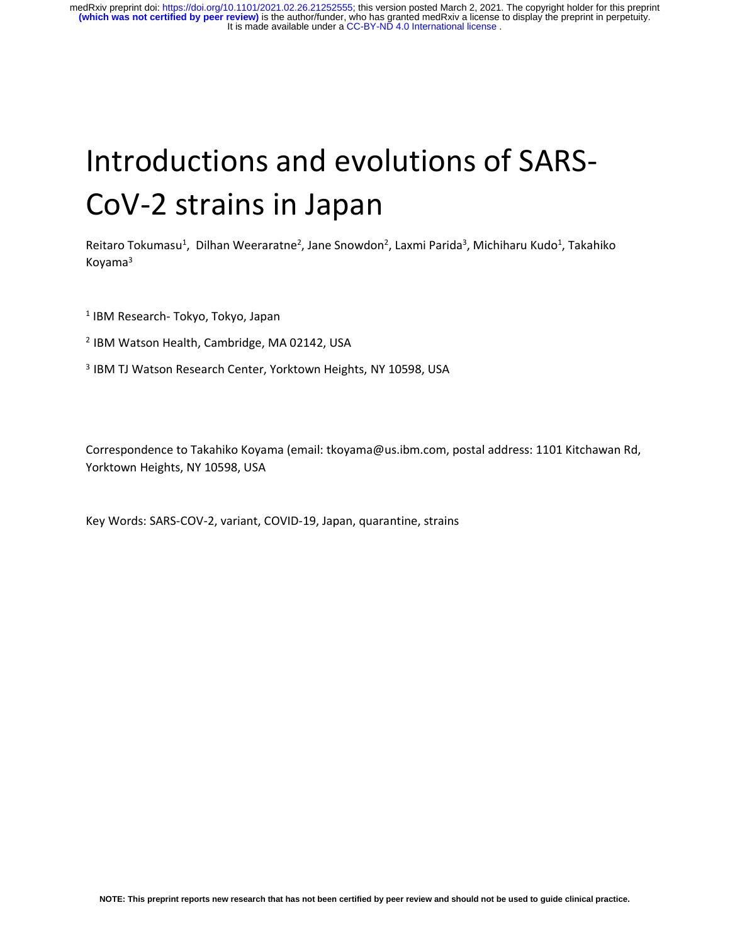# Introductions and evolutions of SARS-CoV-2 strains in Japan

Reitaro Tokumasu<sup>1</sup>, Dilhan Weeraratne<sup>2</sup>, Jane Snowdon<sup>2</sup>, Laxmi Parida<sup>3</sup>, Michiharu Kudo<sup>1</sup>, Takahiko Koyama<sup>3</sup>

- 1 IBM Research- Tokyo, Tokyo, Japan
- <sup>2</sup> IBM Watson Health, Cambridge, MA 02142, USA
- <sup>3</sup> IBM TJ Watson Research Center, Yorktown Heights, NY 10598, USA

Correspondence to Takahiko Koyama (email: tkoyama@us.ibm.com, postal address: 1101 Kitchawan Rd, Yorktown Heights, NY 10598, USA

Key Words: SARS-COV-2, variant, COVID-19, Japan, quarantine, strains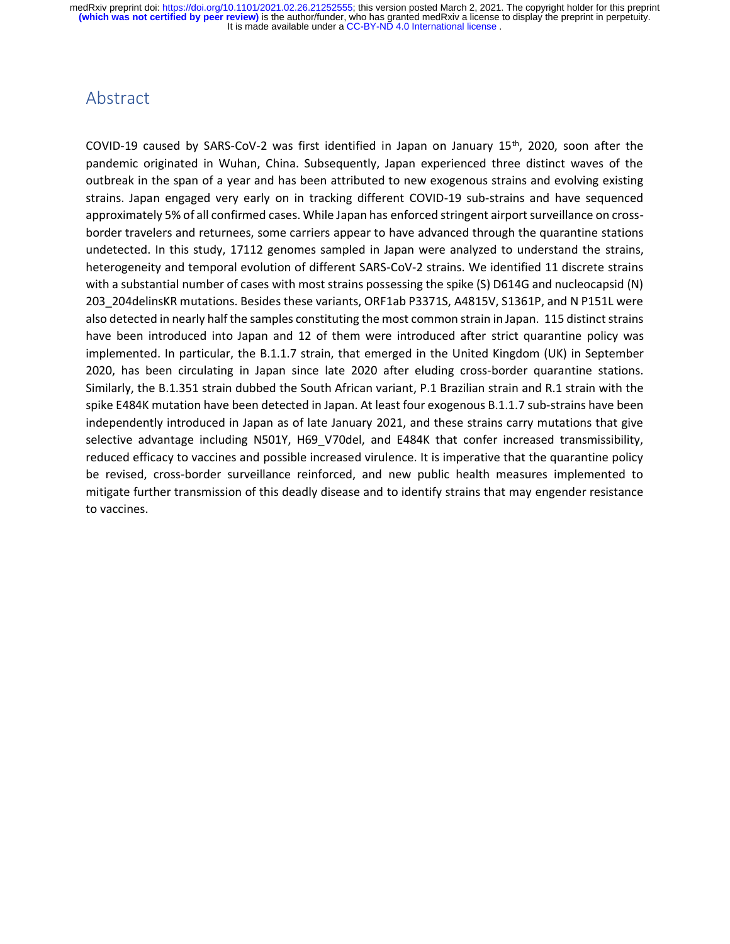#### Abstract

COVID-19 caused by SARS-CoV-2 was first identified in Japan on January 15th, 2020, soon after the pandemic originated in Wuhan, China. Subsequently, Japan experienced three distinct waves of the outbreak in the span of a year and has been attributed to new exogenous strains and evolving existing strains. Japan engaged very early on in tracking different COVID-19 sub-strains and have sequenced approximately 5% of all confirmed cases. While Japan has enforced stringent airport surveillance on crossborder travelers and returnees, some carriers appear to have advanced through the quarantine stations undetected. In this study, 17112 genomes sampled in Japan were analyzed to understand the strains, heterogeneity and temporal evolution of different SARS-CoV-2 strains. We identified 11 discrete strains with a substantial number of cases with most strains possessing the spike (S) D614G and nucleocapsid (N) 203\_204delinsKR mutations. Besides these variants, ORF1ab P3371S, A4815V, S1361P, and N P151L were also detected in nearly half the samples constituting the most common strain in Japan. 115 distinct strains have been introduced into Japan and 12 of them were introduced after strict quarantine policy was implemented. In particular, the B.1.1.7 strain, that emerged in the United Kingdom (UK) in September 2020, has been circulating in Japan since late 2020 after eluding cross-border quarantine stations. Similarly, the B.1.351 strain dubbed the South African variant, P.1 Brazilian strain and R.1 strain with the spike E484K mutation have been detected in Japan. At least four exogenous B.1.1.7 sub-strains have been independently introduced in Japan as of late January 2021, and these strains carry mutations that give selective advantage including N501Y, H69 V70del, and E484K that confer increased transmissibility, reduced efficacy to vaccines and possible increased virulence. It is imperative that the quarantine policy be revised, cross-border surveillance reinforced, and new public health measures implemented to mitigate further transmission of this deadly disease and to identify strains that may engender resistance to vaccines.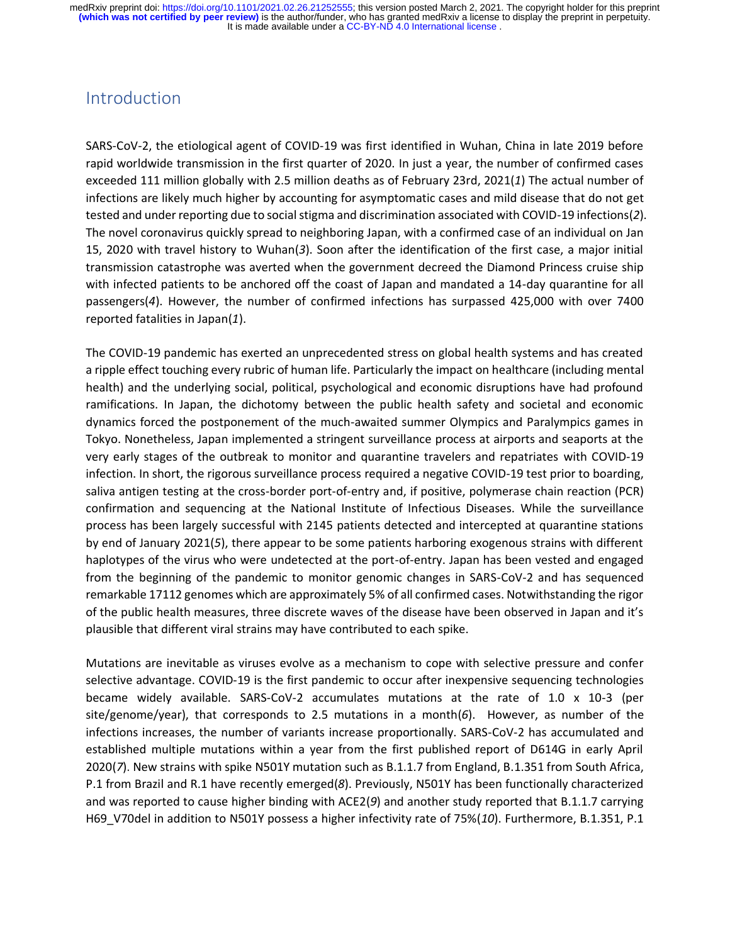#### Introduction

SARS-CoV-2, the etiological agent of COVID-19 was first identified in Wuhan, China in late 2019 before rapid worldwide transmission in the first quarter of 2020. In just a year, the number of confirmed cases exceeded 111 million globally with 2.5 million deaths as of February 23rd, 2021(*1*) The actual number of infections are likely much higher by accounting for asymptomatic cases and mild disease that do not get tested and under reporting due to social stigma and discrimination associated with COVID-19 infections(*2*). The novel coronavirus quickly spread to neighboring Japan, with a confirmed case of an individual on Jan 15, 2020 with travel history to Wuhan(*3*). Soon after the identification of the first case, a major initial transmission catastrophe was averted when the government decreed the Diamond Princess cruise ship with infected patients to be anchored off the coast of Japan and mandated a 14-day quarantine for all passengers(*4*). However, the number of confirmed infections has surpassed 425,000 with over 7400 reported fatalities in Japan(*1*).

The COVID-19 pandemic has exerted an unprecedented stress on global health systems and has created a ripple effect touching every rubric of human life. Particularly the impact on healthcare (including mental health) and the underlying social, political, psychological and economic disruptions have had profound ramifications. In Japan, the dichotomy between the public health safety and societal and economic dynamics forced the postponement of the much-awaited summer Olympics and Paralympics games in Tokyo. Nonetheless, Japan implemented a stringent surveillance process at airports and seaports at the very early stages of the outbreak to monitor and quarantine travelers and repatriates with COVID-19 infection. In short, the rigorous surveillance process required a negative COVID-19 test prior to boarding, saliva antigen testing at the cross-border port-of-entry and, if positive, polymerase chain reaction (PCR) confirmation and sequencing at the National Institute of Infectious Diseases. While the surveillance process has been largely successful with 2145 patients detected and intercepted at quarantine stations by end of January 2021(*5*), there appear to be some patients harboring exogenous strains with different haplotypes of the virus who were undetected at the port-of-entry. Japan has been vested and engaged from the beginning of the pandemic to monitor genomic changes in SARS-CoV-2 and has sequenced remarkable 17112 genomes which are approximately 5% of all confirmed cases. Notwithstanding the rigor of the public health measures, three discrete waves of the disease have been observed in Japan and it's plausible that different viral strains may have contributed to each spike.

Mutations are inevitable as viruses evolve as a mechanism to cope with selective pressure and confer selective advantage. COVID-19 is the first pandemic to occur after inexpensive sequencing technologies became widely available. SARS-CoV-2 accumulates mutations at the rate of 1.0 x 10-3 (per site/genome/year), that corresponds to 2.5 mutations in a month(*6*). However, as number of the infections increases, the number of variants increase proportionally. SARS-CoV-2 has accumulated and established multiple mutations within a year from the first published report of D614G in early April 2020(*7*). New strains with spike N501Y mutation such as B.1.1.7 from England, B.1.351 from South Africa, P.1 from Brazil and R.1 have recently emerged(*8*). Previously, N501Y has been functionally characterized and was reported to cause higher binding with ACE2(*9*) and another study reported that B.1.1.7 carrying H69\_V70del in addition to N501Y possess a higher infectivity rate of 75%(*10*). Furthermore, B.1.351, P.1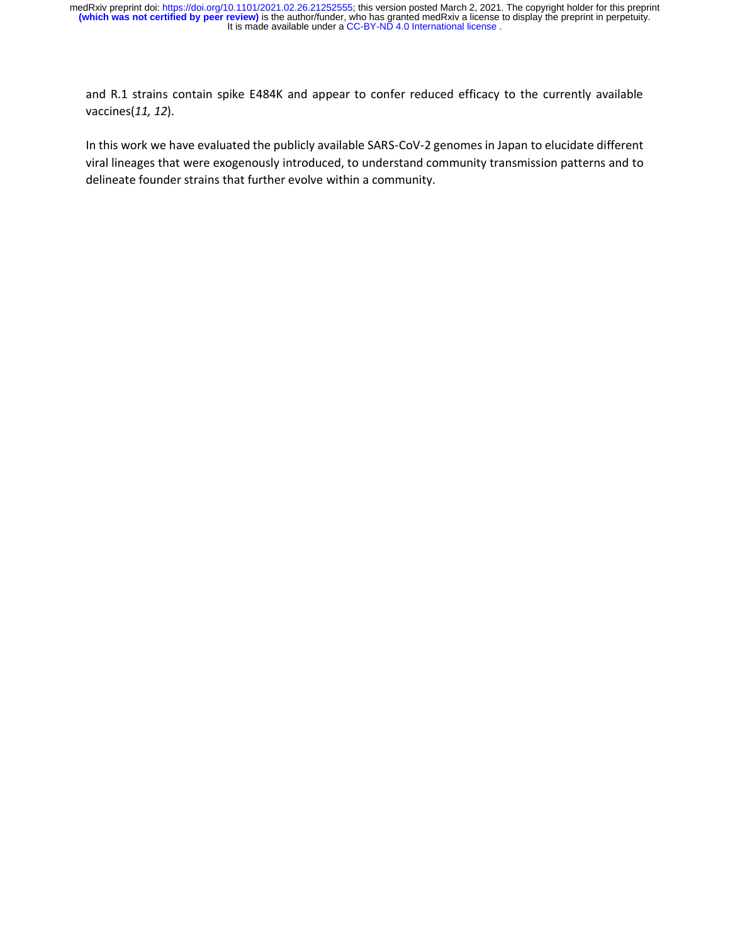and R.1 strains contain spike E484K and appear to confer reduced efficacy to the currently available vaccines(*11, 12*).

In this work we have evaluated the publicly available SARS-CoV-2 genomes in Japan to elucidate different viral lineages that were exogenously introduced, to understand community transmission patterns and to delineate founder strains that further evolve within a community.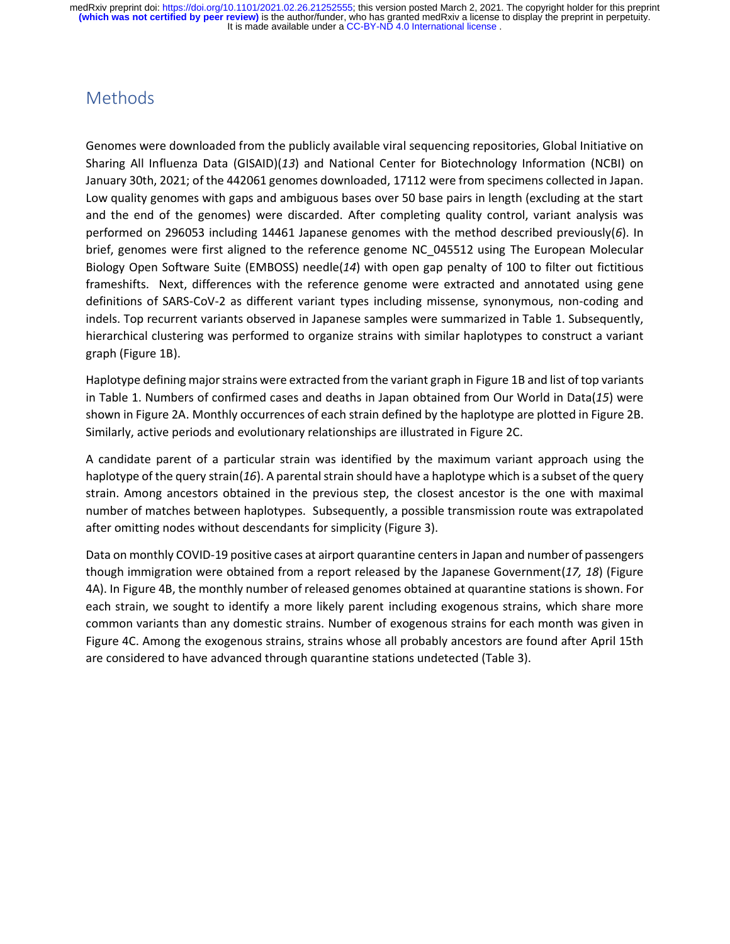#### Methods

Genomes were downloaded from the publicly available viral sequencing repositories, Global Initiative on Sharing All Influenza Data (GISAID)(*13*) and National Center for Biotechnology Information (NCBI) on January 30th, 2021; of the 442061 genomes downloaded, 17112 were from specimens collected in Japan. Low quality genomes with gaps and ambiguous bases over 50 base pairs in length (excluding at the start and the end of the genomes) were discarded. After completing quality control, variant analysis was performed on 296053 including 14461 Japanese genomes with the method described previously(*6*). In brief, genomes were first aligned to the reference genome NC\_045512 using The European Molecular Biology Open Software Suite (EMBOSS) needle(*14*) with open gap penalty of 100 to filter out fictitious frameshifts. Next, differences with the reference genome were extracted and annotated using gene definitions of SARS-CoV-2 as different variant types including missense, synonymous, non-coding and indels. Top recurrent variants observed in Japanese samples were summarized in Table 1. Subsequently, hierarchical clustering was performed to organize strains with similar haplotypes to construct a variant graph (Figure 1B).

Haplotype defining major strains were extracted from the variant graph in Figure 1B and list of top variants in Table 1. Numbers of confirmed cases and deaths in Japan obtained from Our World in Data(*15*) were shown in Figure 2A. Monthly occurrences of each strain defined by the haplotype are plotted in Figure 2B. Similarly, active periods and evolutionary relationships are illustrated in Figure 2C.

A candidate parent of a particular strain was identified by the maximum variant approach using the haplotype of the query strain(16). A parental strain should have a haplotype which is a subset of the query strain. Among ancestors obtained in the previous step, the closest ancestor is the one with maximal number of matches between haplotypes. Subsequently, a possible transmission route was extrapolated after omitting nodes without descendants for simplicity (Figure 3).

Data on monthly COVID-19 positive cases at airport quarantine centers in Japan and number of passengers though immigration were obtained from a report released by the Japanese Government(*17, 18*) (Figure 4A). In Figure 4B, the monthly number of released genomes obtained at quarantine stations is shown. For each strain, we sought to identify a more likely parent including exogenous strains, which share more common variants than any domestic strains. Number of exogenous strains for each month was given in Figure 4C. Among the exogenous strains, strains whose all probably ancestors are found after April 15th are considered to have advanced through quarantine stations undetected (Table 3).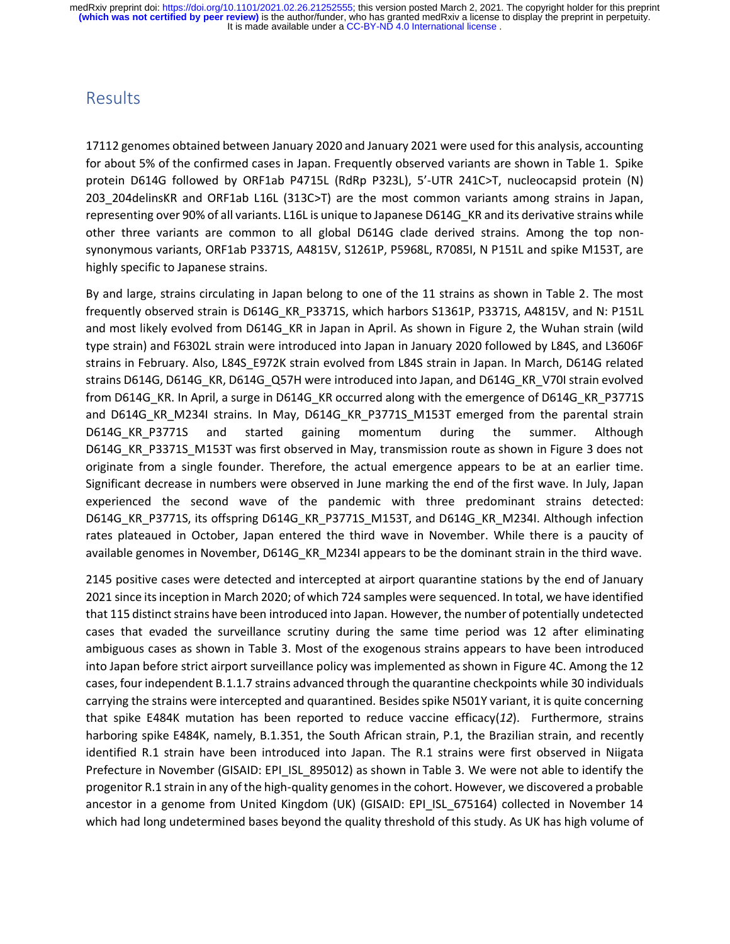#### Results

17112 genomes obtained between January 2020 and January 2021 were used for this analysis, accounting for about 5% of the confirmed cases in Japan. Frequently observed variants are shown in Table 1. Spike protein D614G followed by ORF1ab P4715L (RdRp P323L), 5'-UTR 241C>T, nucleocapsid protein (N) 203\_204delinsKR and ORF1ab L16L (313C>T) are the most common variants among strains in Japan, representing over 90% of all variants. L16L is unique to Japanese D614G KR and its derivative strains while other three variants are common to all global D614G clade derived strains. Among the top nonsynonymous variants, ORF1ab P3371S, A4815V, S1261P, P5968L, R7085I, N P151L and spike M153T, are highly specific to Japanese strains.

By and large, strains circulating in Japan belong to one of the 11 strains as shown in Table 2. The most frequently observed strain is D614G\_KR\_P3371S, which harbors S1361P, P3371S, A4815V, and N: P151L and most likely evolved from D614G\_KR in Japan in April. As shown in Figure 2, the Wuhan strain (wild type strain) and F6302L strain were introduced into Japan in January 2020 followed by L84S, and L3606F strains in February. Also, L84S\_E972K strain evolved from L84S strain in Japan. In March, D614G related strains D614G, D614G KR, D614G Q57H were introduced into Japan, and D614G KR V70I strain evolved from D614G KR. In April, a surge in D614G KR occurred along with the emergence of D614G KR P3771S and D614G KR M234I strains. In May, D614G KR P3771S M153T emerged from the parental strain D614G KR P3771S and started gaining momentum during the summer. Although D614G\_KR\_P3371S\_M153T was first observed in May, transmission route as shown in Figure 3 does not originate from a single founder. Therefore, the actual emergence appears to be at an earlier time. Significant decrease in numbers were observed in June marking the end of the first wave. In July, Japan experienced the second wave of the pandemic with three predominant strains detected: D614G\_KR\_P3771S, its offspring D614G\_KR\_P3771S\_M153T, and D614G\_KR\_M234I. Although infection rates plateaued in October, Japan entered the third wave in November. While there is a paucity of available genomes in November, D614G\_KR\_M234I appears to be the dominant strain in the third wave.

2145 positive cases were detected and intercepted at airport quarantine stations by the end of January 2021 since its inception in March 2020; of which 724 samples were sequenced. In total, we have identified that 115 distinct strains have been introduced into Japan. However, the number of potentially undetected cases that evaded the surveillance scrutiny during the same time period was 12 after eliminating ambiguous cases as shown in Table 3. Most of the exogenous strains appears to have been introduced into Japan before strict airport surveillance policy was implemented as shown in Figure 4C. Among the 12 cases, four independent B.1.1.7 strains advanced through the quarantine checkpoints while 30 individuals carrying the strains were intercepted and quarantined. Besides spike N501Y variant, it is quite concerning that spike E484K mutation has been reported to reduce vaccine efficacy(*12*). Furthermore, strains harboring spike E484K, namely, B.1.351, the South African strain, P.1, the Brazilian strain, and recently identified R.1 strain have been introduced into Japan. The R.1 strains were first observed in Niigata Prefecture in November (GISAID: EPI\_ISL\_895012) as shown in Table 3. We were not able to identify the progenitor R.1 strain in any of the high-quality genomes in the cohort. However, we discovered a probable ancestor in a genome from United Kingdom (UK) (GISAID: EPI ISL 675164) collected in November 14 which had long undetermined bases beyond the quality threshold of this study. As UK has high volume of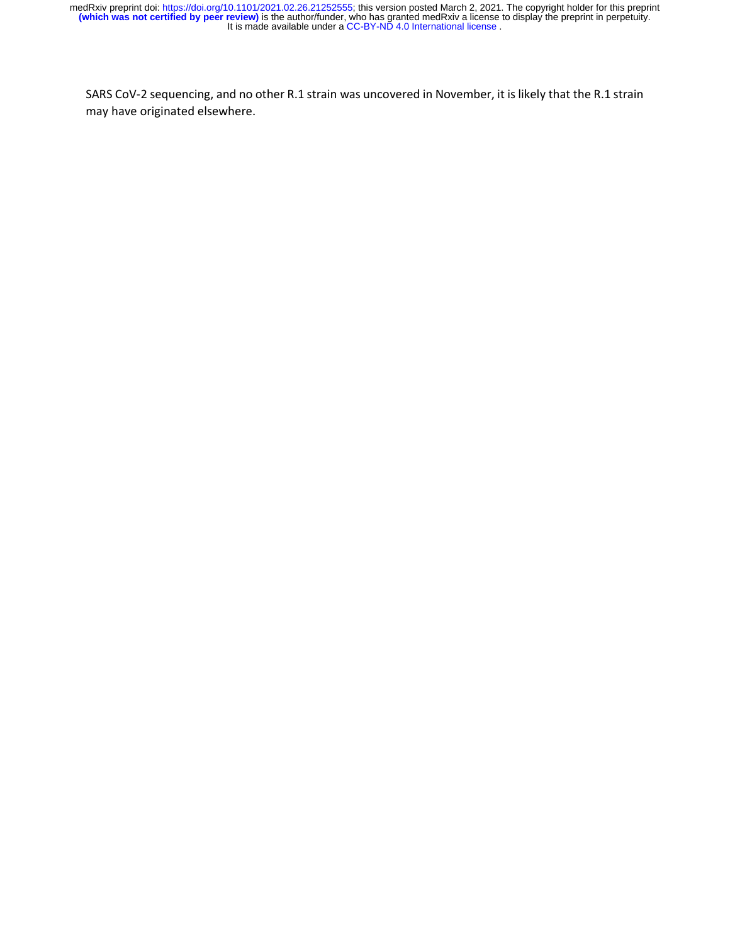SARS CoV-2 sequencing, and no other R.1 strain was uncovered in November, it is likely that the R.1 strain may have originated elsewhere.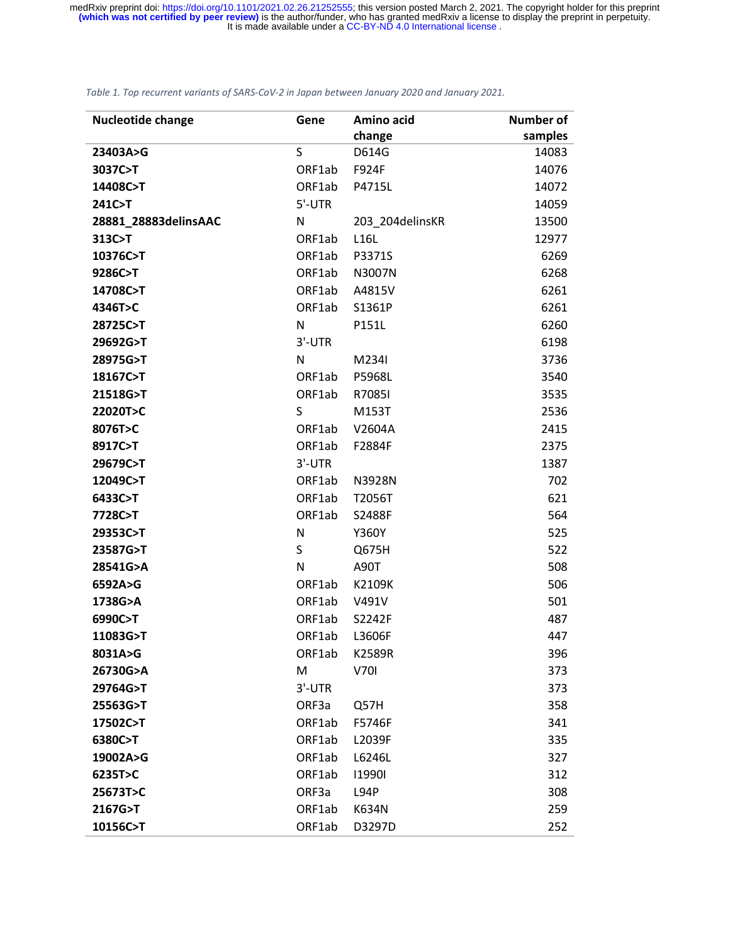#### *Table 1. Top recurrent variants of SARS-CoV-2 in Japan between January 2020 and January 2021.*

| <b>Nucleotide change</b> | Gene   | Amino acid      | <b>Number of</b> |
|--------------------------|--------|-----------------|------------------|
|                          |        | change          | samples          |
| 23403A>G                 | S      | D614G           | 14083            |
| 3037C>T                  | ORF1ab | F924F           | 14076            |
| 14408C>T                 | ORF1ab | P4715L          | 14072            |
| 241C>T                   | 5'-UTR |                 | 14059            |
| 28881_28883delinsAAC     | N      | 203_204delinsKR | 13500            |
| 313C>T                   | ORF1ab | L16L            | 12977            |
| 10376C>T                 | ORF1ab | P3371S          | 6269             |
| 9286C>T                  | ORF1ab | N3007N          | 6268             |
| 14708C>T                 | ORF1ab | A4815V          | 6261             |
| 4346T>C                  | ORF1ab | S1361P          | 6261             |
| 28725C>T                 | N      | P151L           | 6260             |
| 29692G>T                 | 3'-UTR |                 | 6198             |
| 28975G>T                 | N      | M234I           | 3736             |
| 18167C>T                 | ORF1ab | P5968L          | 3540             |
| 21518G>T                 | ORF1ab | R7085I          | 3535             |
| 22020T>C                 | S      | M153T           | 2536             |
| 8076T>C                  | ORF1ab | V2604A          | 2415             |
| 8917C>T                  | ORF1ab | F2884F          | 2375             |
| 29679C>T                 | 3'-UTR |                 | 1387             |
| 12049C>T                 | ORF1ab | N3928N          | 702              |
| 6433C>T                  | ORF1ab | T2056T          | 621              |
| 7728C>T                  | ORF1ab | S2488F          | 564              |
| 29353C>T                 | N      | Y360Y           | 525              |
| 23587G>T                 | S      | Q675H           | 522              |
| 28541G>A                 | N      | A90T            | 508              |
| 6592A>G                  | ORF1ab | K2109K          | 506              |
| 1738G>A                  | ORF1ab | V491V           | 501              |
| 6990C>T                  | ORF1ab | S2242F          | 487              |
| 11083G>T                 | ORF1ab | L3606F          | 447              |
| 8031A>G                  | ORF1ab | K2589R          | 396              |
| 26730G>A                 | M      | <b>V701</b>     | 373              |
| 29764G>T                 | 3'-UTR |                 | 373              |
| 25563G>T                 | ORF3a  | Q57H            | 358              |
| 17502C>T                 | ORF1ab | F5746F          | 341              |
| 6380C>T                  | ORF1ab | L2039F          | 335              |
| 19002A>G                 | ORF1ab | L6246L          | 327              |
| 6235T>C                  | ORF1ab | 119901          | 312              |
| 25673T>C                 | ORF3a  | L94P            | 308              |
| 2167G>T                  | ORF1ab | K634N           | 259              |
| 10156C>T                 | ORF1ab | D3297D          | 252              |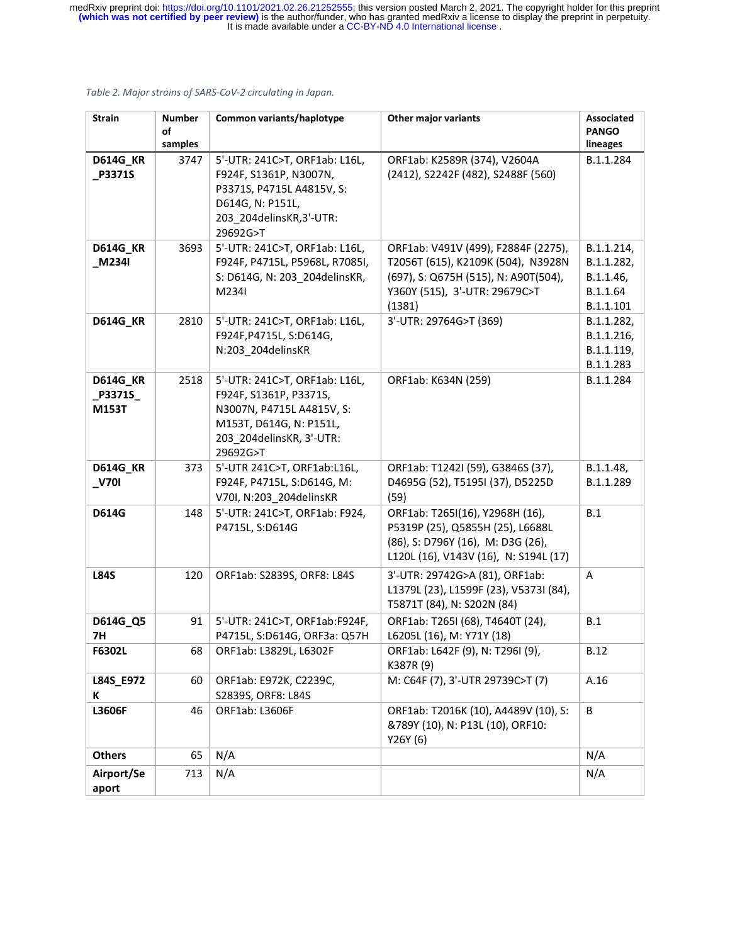| <b>Strain</b>                               | <b>Number</b><br>of<br>samples | Common variants/haplotype                                                                                                                               | Other major variants                                                                                                                                         | Associated<br><b>PANGO</b><br>lineages                         |
|---------------------------------------------|--------------------------------|---------------------------------------------------------------------------------------------------------------------------------------------------------|--------------------------------------------------------------------------------------------------------------------------------------------------------------|----------------------------------------------------------------|
| <b>D614G_KR</b><br>P3371S                   | 3747                           | 5'-UTR: 241C>T, ORF1ab: L16L,<br>F924F, S1361P, N3007N,<br>P3371S, P4715L A4815V, S:<br>D614G, N: P151L,<br>203_204delinsKR,3'-UTR:<br>29692G>T         | ORF1ab: K2589R (374), V2604A<br>(2412), S2242F (482), S2488F (560)                                                                                           | B.1.1.284                                                      |
| <b>D614G_KR</b><br>M234I                    | 3693                           | 5'-UTR: 241C>T, ORF1ab: L16L,<br>F924F, P4715L, P5968L, R7085I,<br>S: D614G, N: 203_204delinsKR,<br>M234I                                               | ORF1ab: V491V (499), F2884F (2275),<br>T2056T (615), K2109K (504), N3928N<br>(697), S: Q675H (515), N: A90T(504),<br>Y360Y (515), 3'-UTR: 29679C>T<br>(1381) | B.1.1.214,<br>B.1.1.282,<br>B.1.1.46,<br>B.1.1.64<br>B.1.1.101 |
| <b>D614G_KR</b>                             | 2810                           | 5'-UTR: 241C>T, ORF1ab: L16L,<br>F924F, P4715L, S: D614G,<br>N:203 204delinsKR                                                                          | 3'-UTR: 29764G>T (369)                                                                                                                                       | B.1.1.282,<br>B.1.1.216,<br>B.1.1.119,<br>B.1.1.283            |
| <b>D614G_KR</b><br>_P3371S_<br><b>M153T</b> | 2518                           | 5'-UTR: 241C>T, ORF1ab: L16L,<br>F924F, S1361P, P3371S,<br>N3007N, P4715L A4815V, S:<br>M153T, D614G, N: P151L,<br>203_204delinsKR, 3'-UTR:<br>29692G>T | ORF1ab: K634N (259)                                                                                                                                          | B.1.1.284                                                      |
| <b>D614G_KR</b><br>$V$ 701                  | 373                            | 5'-UTR 241C>T, ORF1ab:L16L,<br>F924F, P4715L, S:D614G, M:<br>V70I, N:203_204delinsKR                                                                    | ORF1ab: T1242I (59), G3846S (37),<br>D4695G (52), T5195I (37), D5225D<br>(59)                                                                                | B.1.1.48,<br>B.1.1.289                                         |
| <b>D614G</b>                                | 148                            | 5'-UTR: 241C>T, ORF1ab: F924,<br>P4715L, S:D614G                                                                                                        | ORF1ab: T265I(16), Y2968H (16),<br>P5319P (25), Q5855H (25), L6688L<br>(86), S: D796Y (16), M: D3G (26),<br>L120L (16), V143V (16), N: S194L (17)            | B.1                                                            |
| <b>L84S</b>                                 | 120                            | ORF1ab: S2839S, ORF8: L84S                                                                                                                              | 3'-UTR: 29742G>A (81), ORF1ab:<br>L1379L (23), L1599F (23), V5373I (84),<br>T5871T (84), N: S202N (84)                                                       | Α                                                              |
| D614G_Q5<br><b>7H</b>                       | 91                             | 5'-UTR: 241C>T, ORF1ab:F924F,<br>P4715L, S:D614G, ORF3a: Q57H                                                                                           | ORF1ab: T265I (68), T4640T (24),<br>L6205L (16), M: Y71Y (18)                                                                                                | B.1                                                            |
| F6302L                                      | 68                             | ORF1ab: L3829L, L6302F                                                                                                                                  | ORF1ab: L642F (9), N: T296I (9),<br>K387R (9)                                                                                                                | <b>B.12</b>                                                    |
| L84S_E972<br>К                              | 60                             | ORF1ab: E972K, C2239C,<br>S2839S, ORF8: L84S                                                                                                            | M: C64F (7), 3'-UTR 29739C>T (7)                                                                                                                             | A.16                                                           |
| L3606F                                      | 46                             | ORF1ab: L3606F                                                                                                                                          | ORF1ab: T2016K (10), A4489V (10), S:<br>&789Y (10), N: P13L (10), ORF10:<br>Y26Y (6)                                                                         | В                                                              |
| <b>Others</b>                               | 65                             | N/A                                                                                                                                                     |                                                                                                                                                              | N/A                                                            |
| Airport/Se<br>aport                         | 713                            | N/A                                                                                                                                                     |                                                                                                                                                              | N/A                                                            |

#### *Table 2. Major strains of SARS-CoV-2 circulating in Japan.*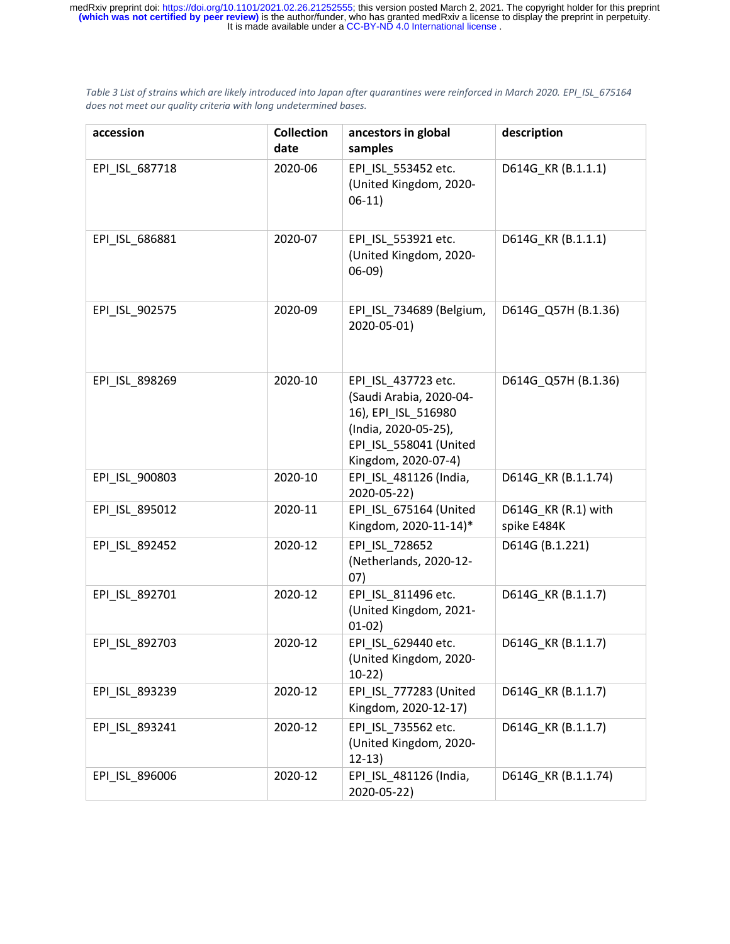*Table 3 List of strains which are likely introduced into Japan after quarantines were reinforced in March 2020. EPI\_ISL\_675164 does not meet our quality criteria with long undetermined bases.*

| accession      | <b>Collection</b><br>date | ancestors in global<br>samples                                                                                                                 | description                        |
|----------------|---------------------------|------------------------------------------------------------------------------------------------------------------------------------------------|------------------------------------|
| EPI_ISL_687718 | 2020-06                   | EPI_ISL_553452 etc.<br>(United Kingdom, 2020-<br>$06-11)$                                                                                      | D614G_KR (B.1.1.1)                 |
| EPI_ISL_686881 | 2020-07                   | EPI ISL 553921 etc.<br>(United Kingdom, 2020-<br>$06-09)$                                                                                      | D614G_KR (B.1.1.1)                 |
| EPI_ISL_902575 | 2020-09                   | EPI_ISL_734689 (Belgium,<br>2020-05-01)                                                                                                        | D614G Q57H (B.1.36)                |
| EPI_ISL_898269 | 2020-10                   | EPI ISL 437723 etc.<br>(Saudi Arabia, 2020-04-<br>16), EPI_ISL_516980<br>(India, 2020-05-25),<br>EPI ISL 558041 (United<br>Kingdom, 2020-07-4) | D614G Q57H (B.1.36)                |
| EPI ISL 900803 | 2020-10                   | EPI ISL 481126 (India,<br>2020-05-22)                                                                                                          | D614G_KR (B.1.1.74)                |
| EPI_ISL_895012 | 2020-11                   | EPI_ISL_675164 (United<br>Kingdom, 2020-11-14)*                                                                                                | D614G_KR (R.1) with<br>spike E484K |
| EPI_ISL_892452 | 2020-12                   | EPI ISL 728652<br>(Netherlands, 2020-12-<br>07)                                                                                                | D614G (B.1.221)                    |
| EPI_ISL_892701 | 2020-12                   | EPI_ISL_811496 etc.<br>(United Kingdom, 2021-<br>$01-02)$                                                                                      | D614G_KR (B.1.1.7)                 |
| EPI_ISL_892703 | 2020-12                   | EPI_ISL_629440 etc.<br>(United Kingdom, 2020-<br>$10-22)$                                                                                      | D614G KR (B.1.1.7)                 |
| EPI_ISL_893239 | 2020-12                   | EPI_ISL_777283 (United<br>Kingdom, 2020-12-17)                                                                                                 | D614G_KR (B.1.1.7)                 |
| EPI_ISL_893241 | 2020-12                   | EPI ISL 735562 etc.<br>(United Kingdom, 2020-<br>$12-13)$                                                                                      | D614G_KR (B.1.1.7)                 |
| EPI_ISL_896006 | 2020-12                   | EPI_ISL_481126 (India,<br>2020-05-22)                                                                                                          | D614G_KR (B.1.1.74)                |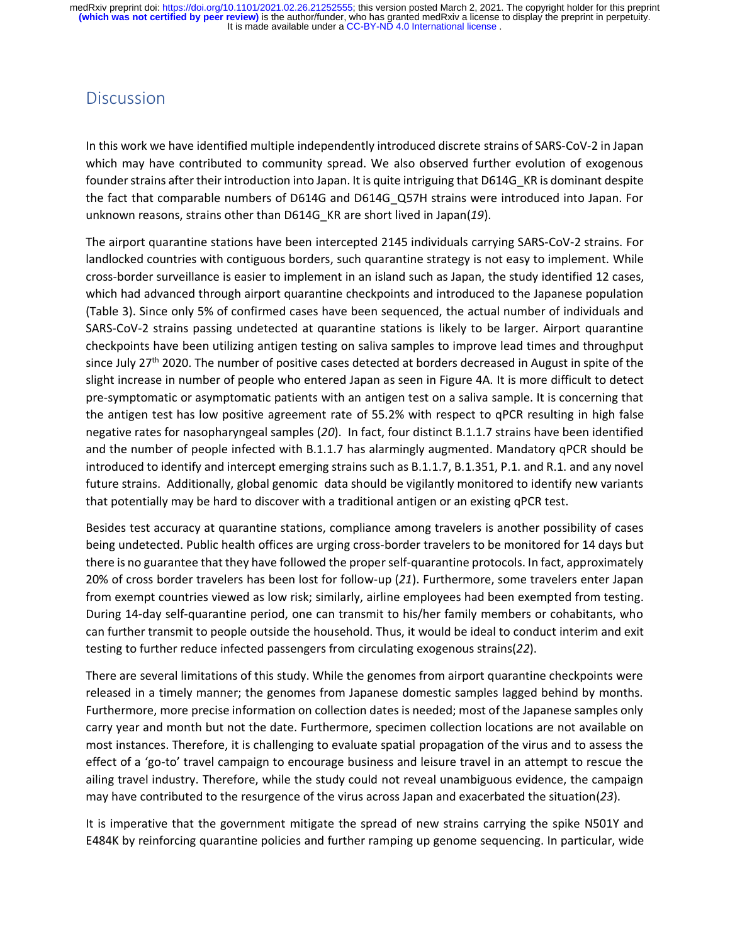#### **Discussion**

In this work we have identified multiple independently introduced discrete strains of SARS-CoV-2 in Japan which may have contributed to community spread. We also observed further evolution of exogenous founder strains after their introduction into Japan. It is quite intriguing that D614G\_KR is dominant despite the fact that comparable numbers of D614G and D614G\_Q57H strains were introduced into Japan. For unknown reasons, strains other than D614G\_KR are short lived in Japan(*19*).

The airport quarantine stations have been intercepted 2145 individuals carrying SARS-CoV-2 strains. For landlocked countries with contiguous borders, such quarantine strategy is not easy to implement. While cross-border surveillance is easier to implement in an island such as Japan, the study identified 12 cases, which had advanced through airport quarantine checkpoints and introduced to the Japanese population (Table 3). Since only 5% of confirmed cases have been sequenced, the actual number of individuals and SARS-CoV-2 strains passing undetected at quarantine stations is likely to be larger. Airport quarantine checkpoints have been utilizing antigen testing on saliva samples to improve lead times and throughput since July 27<sup>th</sup> 2020. The number of positive cases detected at borders decreased in August in spite of the slight increase in number of people who entered Japan as seen in Figure 4A. It is more difficult to detect pre-symptomatic or asymptomatic patients with an antigen test on a saliva sample. It is concerning that the antigen test has low positive agreement rate of 55.2% with respect to qPCR resulting in high false negative rates for nasopharyngeal samples (*20*). In fact, four distinct B.1.1.7 strains have been identified and the number of people infected with B.1.1.7 has alarmingly augmented. Mandatory qPCR should be introduced to identify and intercept emerging strains such as B.1.1.7, B.1.351, P.1. and R.1. and any novel future strains. Additionally, global genomic data should be vigilantly monitored to identify new variants that potentially may be hard to discover with a traditional antigen or an existing qPCR test.

Besides test accuracy at quarantine stations, compliance among travelers is another possibility of cases being undetected. Public health offices are urging cross-border travelers to be monitored for 14 days but there is no guarantee that they have followed the proper self-quarantine protocols. In fact, approximately 20% of cross border travelers has been lost for follow-up (*21*). Furthermore, some travelers enter Japan from exempt countries viewed as low risk; similarly, airline employees had been exempted from testing. During 14-day self-quarantine period, one can transmit to his/her family members or cohabitants, who can further transmit to people outside the household. Thus, it would be ideal to conduct interim and exit testing to further reduce infected passengers from circulating exogenous strains(*22*).

There are several limitations of this study. While the genomes from airport quarantine checkpoints were released in a timely manner; the genomes from Japanese domestic samples lagged behind by months. Furthermore, more precise information on collection dates is needed; most of the Japanese samples only carry year and month but not the date. Furthermore, specimen collection locations are not available on most instances. Therefore, it is challenging to evaluate spatial propagation of the virus and to assess the effect of a 'go-to' travel campaign to encourage business and leisure travel in an attempt to rescue the ailing travel industry. Therefore, while the study could not reveal unambiguous evidence, the campaign may have contributed to the resurgence of the virus across Japan and exacerbated the situation(*23*).

It is imperative that the government mitigate the spread of new strains carrying the spike N501Y and E484K by reinforcing quarantine policies and further ramping up genome sequencing. In particular, wide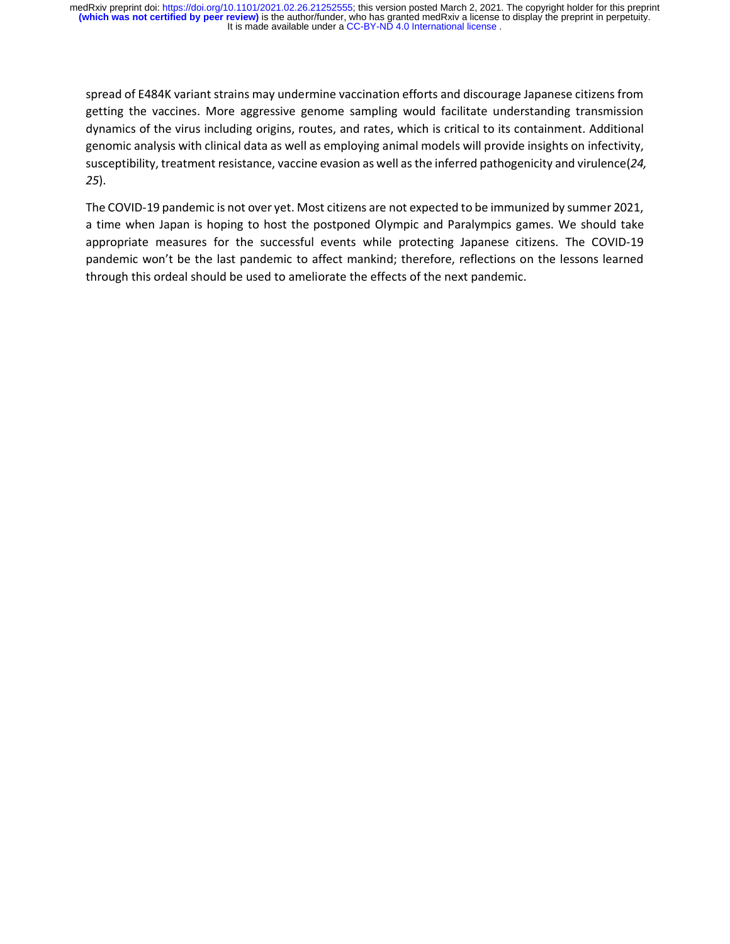spread of E484K variant strains may undermine vaccination efforts and discourage Japanese citizens from getting the vaccines. More aggressive genome sampling would facilitate understanding transmission dynamics of the virus including origins, routes, and rates, which is critical to its containment. Additional genomic analysis with clinical data as well as employing animal models will provide insights on infectivity, susceptibility, treatment resistance, vaccine evasion as well as the inferred pathogenicity and virulence(*24, 25*).

The COVID-19 pandemic is not over yet. Most citizens are not expected to be immunized by summer 2021, a time when Japan is hoping to host the postponed Olympic and Paralympics games. We should take appropriate measures for the successful events while protecting Japanese citizens. The COVID-19 pandemic won't be the last pandemic to affect mankind; therefore, reflections on the lessons learned through this ordeal should be used to ameliorate the effects of the next pandemic.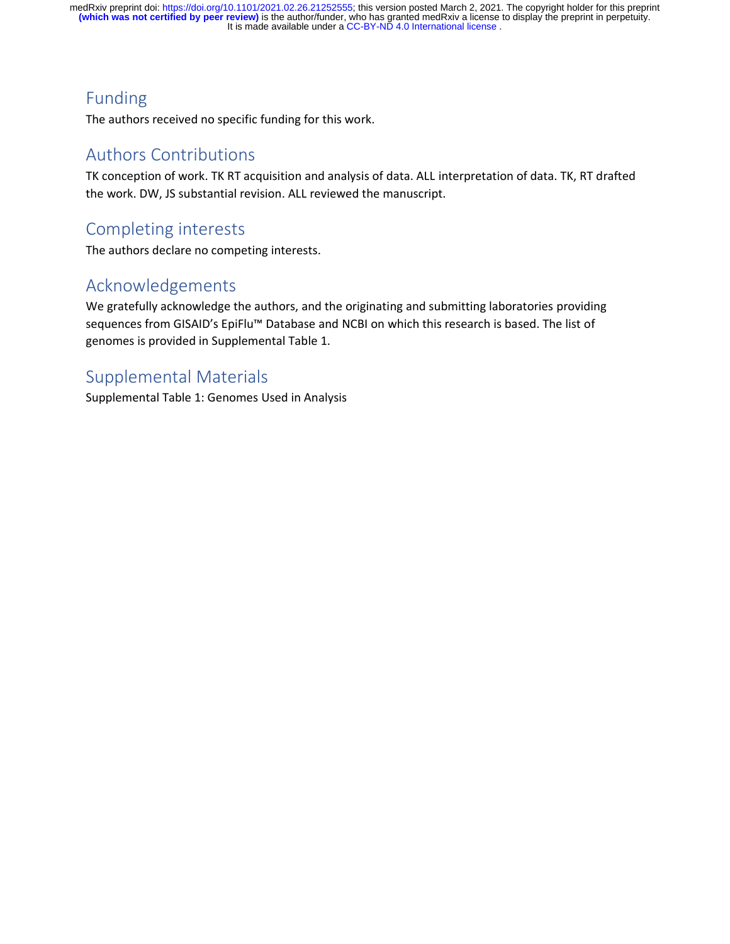# Funding

The authors received no specific funding for this work.

#### Authors Contributions

TK conception of work. TK RT acquisition and analysis of data. ALL interpretation of data. TK, RT drafted the work. DW, JS substantial revision. ALL reviewed the manuscript.

## Completing interests

The authors declare no competing interests.

### Acknowledgements

We gratefully acknowledge the authors, and the originating and submitting laboratories providing sequences from GISAID's EpiFlu<sup>™</sup> Database and NCBI on which this research is based. The list of genomes is provided in Supplemental Table 1.

### Supplemental Materials

Supplemental Table 1: Genomes Used in Analysis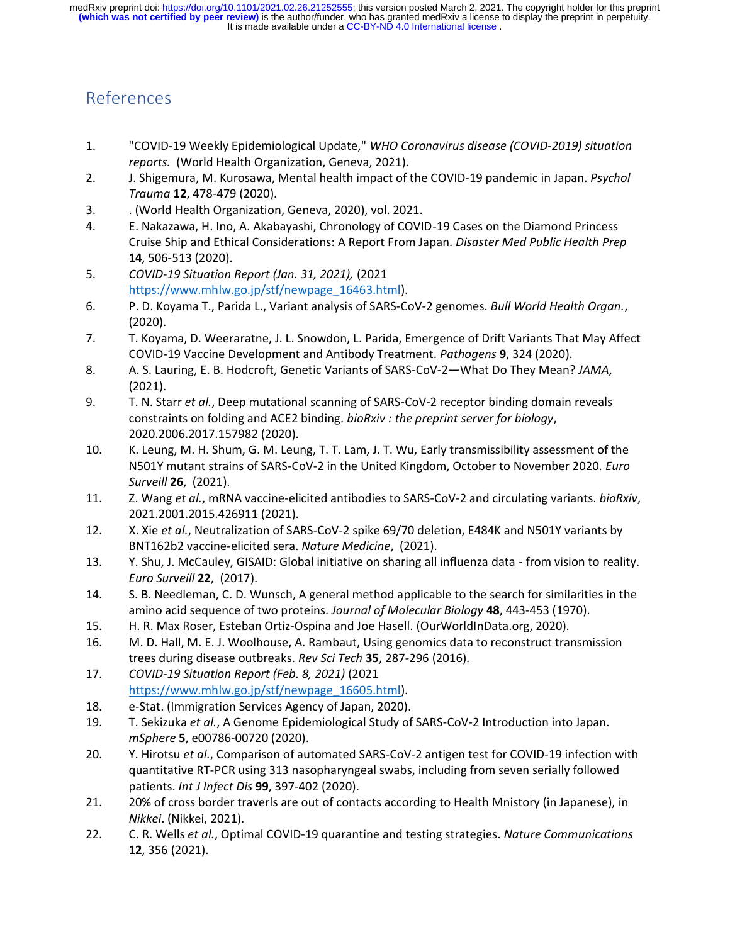# References

- 1. "COVID-19 Weekly Epidemiological Update," *WHO Coronavirus disease (COVID-2019) situation reports.* (World Health Organization, Geneva, 2021).
- 2. J. Shigemura, M. Kurosawa, Mental health impact of the COVID-19 pandemic in Japan. *Psychol Trauma* **12**, 478-479 (2020).
- 3. . (World Health Organization, Geneva, 2020), vol. 2021.
- 4. E. Nakazawa, H. Ino, A. Akabayashi, Chronology of COVID-19 Cases on the Diamond Princess Cruise Ship and Ethical Considerations: A Report From Japan. *Disaster Med Public Health Prep* **14**, 506-513 (2020).
- 5. *COVID-19 Situation Report (Jan. 31, 2021),* (2021 [https://www.mhlw.go.jp/stf/newpage\\_16463.html\)](https://www.mhlw.go.jp/stf/newpage_16463.html).
- 6. P. D. Koyama T., Parida L., Variant analysis of SARS-CoV-2 genomes. *Bull World Health Organ.*, (2020).
- 7. T. Koyama, D. Weeraratne, J. L. Snowdon, L. Parida, Emergence of Drift Variants That May Affect COVID-19 Vaccine Development and Antibody Treatment. *Pathogens* **9**, 324 (2020).
- 8. A. S. Lauring, E. B. Hodcroft, Genetic Variants of SARS-CoV-2—What Do They Mean? *JAMA*, (2021).
- 9. T. N. Starr *et al.*, Deep mutational scanning of SARS-CoV-2 receptor binding domain reveals constraints on folding and ACE2 binding. *bioRxiv : the preprint server for biology*, 2020.2006.2017.157982 (2020).
- 10. K. Leung, M. H. Shum, G. M. Leung, T. T. Lam, J. T. Wu, Early transmissibility assessment of the N501Y mutant strains of SARS-CoV-2 in the United Kingdom, October to November 2020. *Euro Surveill* **26**, (2021).
- 11. Z. Wang *et al.*, mRNA vaccine-elicited antibodies to SARS-CoV-2 and circulating variants. *bioRxiv*, 2021.2001.2015.426911 (2021).
- 12. X. Xie *et al.*, Neutralization of SARS-CoV-2 spike 69/70 deletion, E484K and N501Y variants by BNT162b2 vaccine-elicited sera. *Nature Medicine*, (2021).
- 13. Y. Shu, J. McCauley, GISAID: Global initiative on sharing all influenza data from vision to reality. *Euro Surveill* **22**, (2017).
- 14. S. B. Needleman, C. D. Wunsch, A general method applicable to the search for similarities in the amino acid sequence of two proteins. *Journal of Molecular Biology* **48**, 443-453 (1970).
- 15. H. R. Max Roser, Esteban Ortiz-Ospina and Joe Hasell. (OurWorldInData.org, 2020).
- 16. M. D. Hall, M. E. J. Woolhouse, A. Rambaut, Using genomics data to reconstruct transmission trees during disease outbreaks. *Rev Sci Tech* **35**, 287-296 (2016).
- 17. *COVID-19 Situation Report (Feb. 8, 2021)* (2021 [https://www.mhlw.go.jp/stf/newpage\\_16605.html\)](https://www.mhlw.go.jp/stf/newpage_16605.html).
- 18. e-Stat. (Immigration Services Agency of Japan, 2020).
- 19. T. Sekizuka *et al.*, A Genome Epidemiological Study of SARS-CoV-2 Introduction into Japan. *mSphere* **5**, e00786-00720 (2020).
- 20. Y. Hirotsu *et al.*, Comparison of automated SARS-CoV-2 antigen test for COVID-19 infection with quantitative RT-PCR using 313 nasopharyngeal swabs, including from seven serially followed patients. *Int J Infect Dis* **99**, 397-402 (2020).
- 21. 20% of cross border traverls are out of contacts according to Health Mnistory (in Japanese), in *Nikkei*. (Nikkei, 2021).
- 22. C. R. Wells *et al.*, Optimal COVID-19 quarantine and testing strategies. *Nature Communications* **12**, 356 (2021).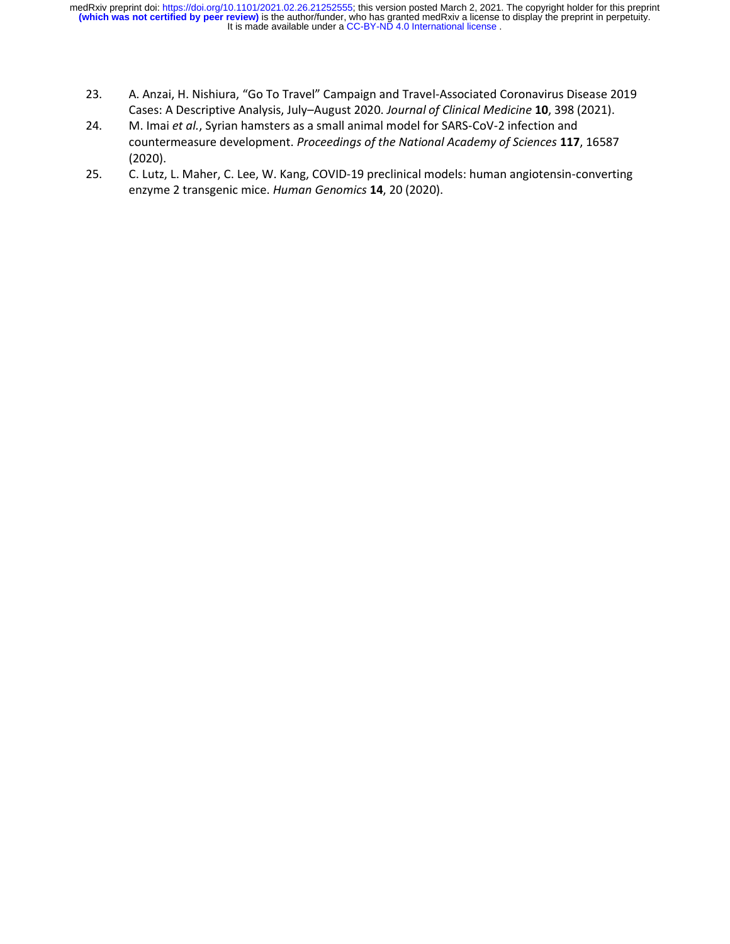- 23. A. Anzai, H. Nishiura, "Go To Travel" Campaign and Travel-Associated Coronavirus Disease 2019 Cases: A Descriptive Analysis, July–August 2020. *Journal of Clinical Medicine* **10**, 398 (2021).
- 24. M. Imai *et al.*, Syrian hamsters as a small animal model for SARS-CoV-2 infection and countermeasure development. *Proceedings of the National Academy of Sciences* **117**, 16587 (2020).
- 25. C. Lutz, L. Maher, C. Lee, W. Kang, COVID-19 preclinical models: human angiotensin-converting enzyme 2 transgenic mice. *Human Genomics* **14**, 20 (2020).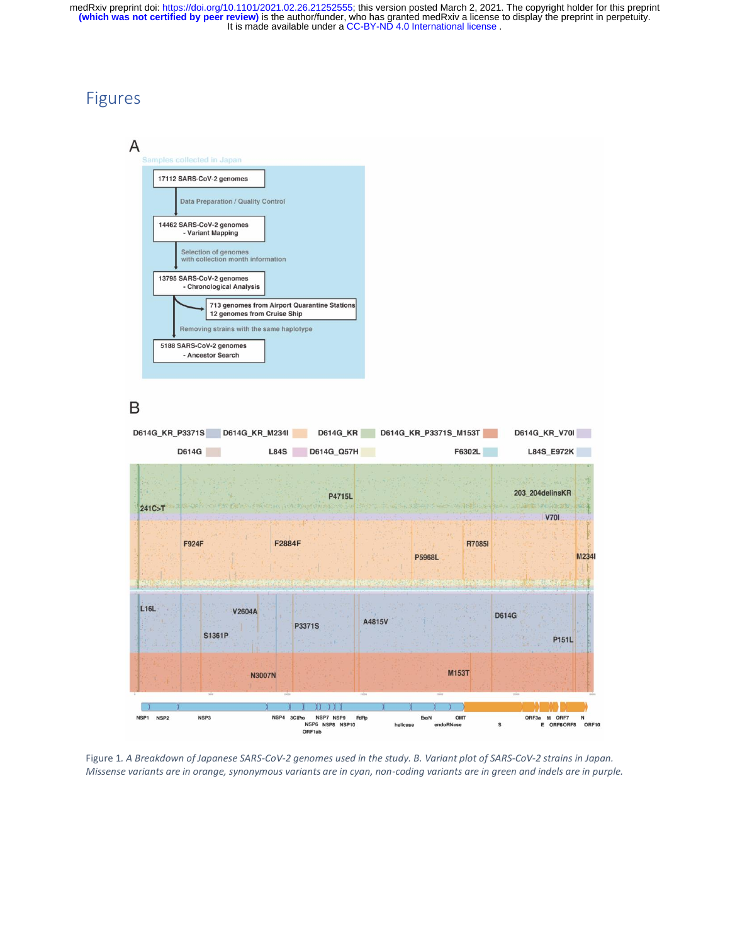#### Figures

 $\overline{A}$ 



#### B



Figure 1*. A Breakdown of Japanese SARS-CoV-2 genomes used in the study. B. Variant plot of SARS-CoV-2 strains in Japan. Missense variants are in orange, synonymous variants are in cyan, non-coding variants are in green and indels are in purple.*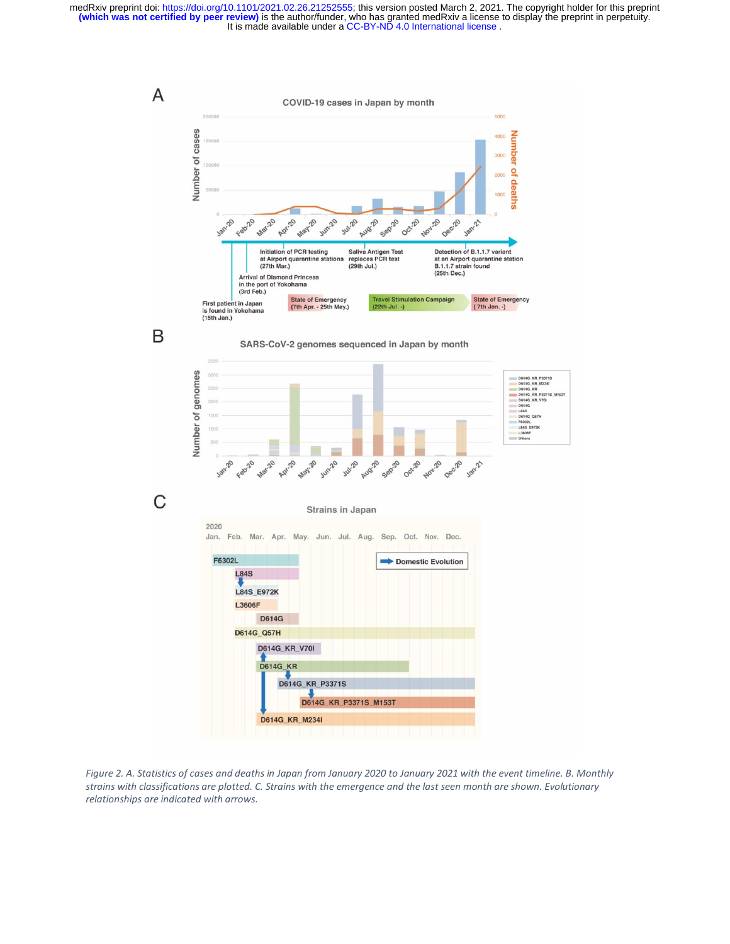

*Figure 2. A. Statistics of cases and deaths in Japan from January 2020 to January 2021 with the event timeline. B. Monthly strains with classifications are plotted. C. Strains with the emergence and the last seen month are shown. Evolutionary relationships are indicated with arrows.*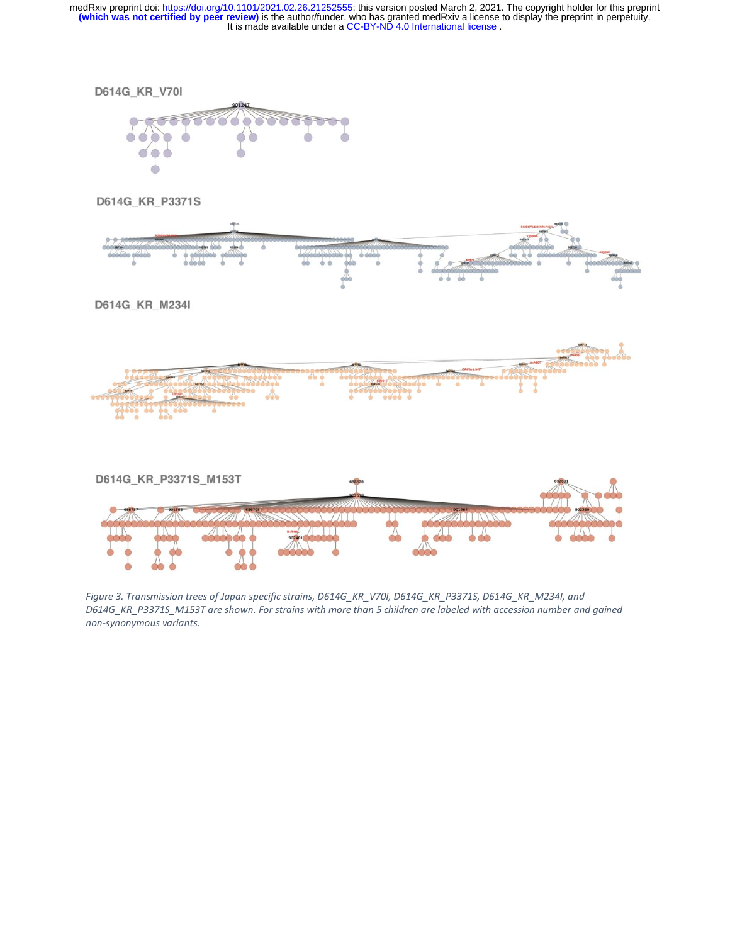

*Figure 3. Transmission trees of Japan specific strains, D614G\_KR\_V70I, D614G\_KR\_P3371S, D614G\_KR\_M234I, and D614G\_KR\_P3371S\_M153T are shown. For strains with more than 5 children are labeled with accession number and gained non-synonymous variants.*